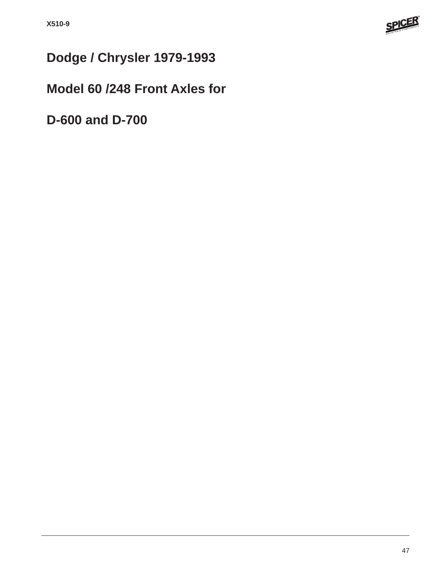

# **Dodge / Chrysler 1979-1993**

## **Model 60 /248 Front Axles for**

**D-600 and D-700**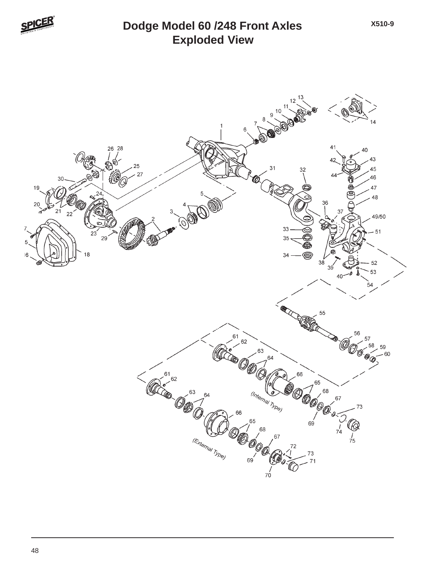

## **Exploded View Dodge Model 60 /248 Front Axles**



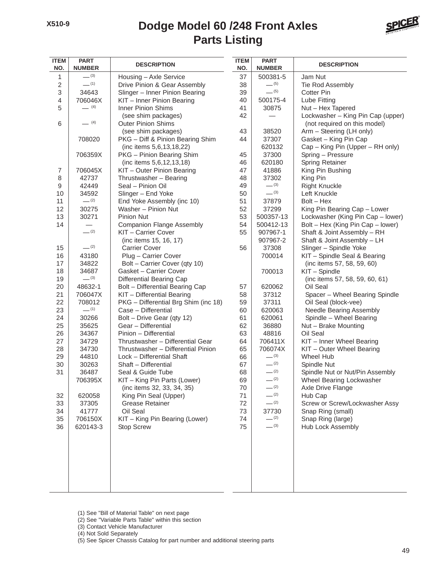#### **Parts Listing Dodge Model 60 /248 Front Axles**



| <b>ITEM</b><br>NO. | <b>PART</b><br><b>NUMBER</b> | <b>DESCRIPTION</b>                           | <b>ITEM</b><br>NO. | <b>PART</b><br><b>NUMBER</b> | <b>DESCRIPTION</b>                        |
|--------------------|------------------------------|----------------------------------------------|--------------------|------------------------------|-------------------------------------------|
| 1                  | $- (3)$                      | Housing - Axle Service                       | 37                 | 500381-5                     | Jam Nut                                   |
| $\overline{2}$     | $-$ (1)                      | Drive Pinion & Gear Assembly                 | 38                 | $- (5)$                      | Tie Rod Assembly                          |
| $\,$ 3 $\,$        | 34643                        | Slinger - Inner Pinion Bearing               | 39                 | $-$ (5)                      | <b>Cotter Pin</b>                         |
| $\overline{4}$     | 706046X                      | KIT - Inner Pinion Bearing                   | 40                 | 500175-4                     | Lube Fitting                              |
| 5                  | $- (4)$                      | <b>Inner Pinion Shims</b>                    | 41                 | 30875                        | Nut - Hex Tapered                         |
|                    |                              | (see shim packages)                          | 42                 |                              | Lockwasher - King Pin Cap (upper)         |
| 6                  | $- (4)$                      | <b>Outer Pinion Shims</b>                    |                    |                              | (not required on this model)              |
|                    |                              | (see shim packages)                          | 43                 | 38520                        | Arm - Steering (LH only)                  |
|                    | 708020                       | PKG - Diff & Pinion Bearing Shim             | 44                 | 37307                        | Gasket - King Pin Cap                     |
|                    |                              | (inc items 5,6,13,18,22)                     |                    | 620132                       | Cap - King Pin (Upper - RH only)          |
|                    | 706359X                      | PKG - Pinion Bearing Shim                    | 45                 | 37300                        | Spring - Pressure                         |
|                    |                              | (inc items 5,6,12,13,18)                     | 46                 | 620180                       | Spring Retainer                           |
| $\boldsymbol{7}$   | 706045X                      | KIT - Outer Pinion Bearing                   | 47                 | 41886                        | King Pin Bushing                          |
| 8                  | 42737                        | Thrustwasher - Bearing                       | 48                 | 37302                        | King Pin                                  |
| 9                  | 42449                        | Seal - Pinion Oil                            | 49                 | $-^{(3)}$                    | <b>Right Knuckle</b>                      |
| 10                 | 34592                        | Slinger - End Yoke                           | 50                 | $- (3)$                      | Left Knuckle                              |
| 11                 | $-^{(2)}$                    | End Yoke Assembly (inc 10)                   | 51                 | 37879                        | $Bolt - Hex$                              |
| 12                 | 30275                        | Washer - Pinion Nut                          | 52                 | 37299                        | King Pin Bearing Cap - Lower              |
| 13                 | 30271                        | <b>Pinion Nut</b>                            | 53                 | 500357-13                    | Lockwasher (King Pin Cap - lower)         |
| 14                 |                              | <b>Companion Flange Assembly</b>             | 54                 | 500412-13                    | Bolt - Hex (King Pin Cap - lower)         |
|                    | (2)                          | KIT - Carrier Cover                          | 55                 | 907967-1                     | Shaft & Joint Assembly - RH               |
|                    |                              | (inc items 15, 16, 17)                       |                    | 907967-2                     | Shaft & Joint Assembly - LH               |
| 15                 | $- (2)$                      | <b>Carrier Cover</b>                         | 56                 | 37308                        | Slinger - Spindle Yoke                    |
| 16                 | 43180                        | Plug - Carrier Cover                         |                    | 700014                       | KIT - Spindle Seal & Bearing              |
| 17                 | 34822                        | Bolt - Carrier Cover (qty 10)                |                    |                              | (inc items 57, 58, 59, 60)                |
| 18                 | 34687                        | Gasket - Carrier Cover                       |                    | 700013                       | KIT - Spindle                             |
| 19                 | $- (3)$                      | <b>Differential Bearing Cap</b>              |                    |                              | (inc items 57, 58, 59, 60, 61)            |
| 20                 | 48632-1                      | Bolt - Differential Bearing Cap              | 57                 | 620062                       | Oil Seal                                  |
| 21                 | 706047X                      | KIT - Differential Bearing                   | 58                 | 37312                        | Spacer - Wheel Bearing Spindle            |
| 22                 | 708012                       | PKG - Differential Brg Shim (inc 18)         | 59                 | 37311                        | Oil Seal (block-vee)                      |
| 23                 | $-$ (1)                      | Case - Differential                          | 60                 | 620063                       | Needle Bearing Assembly                   |
| 24                 | 30266                        | Bolt - Drive Gear (qty 12)                   | 61                 | 620061                       | Spindle - Wheel Bearing                   |
| 25                 | 35625                        | Gear - Differential                          | 62                 | 36880                        | Nut - Brake Mounting                      |
| 26                 | 34367                        | Pinion - Differential                        | 63                 | 48816                        | Oil Seal                                  |
| 27                 | 34729                        | Thrustwasher - Differential Gear             | 64                 | 706411X                      | KIT - Inner Wheel Bearing                 |
| 28                 | 34730                        | Thrustwasher - Differential Pinion           | 65                 | 706074X                      | KIT - Outer Wheel Bearing                 |
| 29                 | 44810                        | Lock - Differential Shaft                    | 66                 | $- (3)$<br>$- (2)$           | <b>Wheel Hub</b>                          |
| 30                 | 30263                        | Shaft - Differential                         | 67                 | $-^{(2)}$                    | Spindle Nut                               |
| 31                 | 36487                        | Seal & Guide Tube                            | 68                 |                              | Spindle Nut or Nut/Pin Assembly           |
|                    | 706395X                      | KIT - King Pin Parts (Lower)                 | 69                 | $-$ (2)<br>$-$ (2)           | Wheel Bearing Lockwasher                  |
|                    |                              | (inc items 32, 33, 34, 35)                   | 70                 | $-$ (2)                      | Axle Drive Flange                         |
| 32                 | 620058                       | King Pin Seal (Upper)                        | 71<br>72           | $-$ (2)                      | Hub Cap<br>Screw or Screw/Lockwasher Assy |
| 33<br>34           | 37305<br>41777               | <b>Grease Retainer</b><br>Oil Seal           | 73                 | 37730                        | Snap Ring (small)                         |
| 35                 | 706150X                      |                                              | 74                 | $-$ (2)                      | Snap Ring (large)                         |
| 36                 | 620143-3                     | KIT - King Pin Bearing (Lower)<br>Stop Screw | 75                 | $- (3)$                      | <b>Hub Lock Assembly</b>                  |
|                    |                              |                                              |                    |                              |                                           |
|                    |                              |                                              |                    |                              |                                           |
|                    |                              |                                              |                    |                              |                                           |
|                    |                              |                                              |                    |                              |                                           |

(1) See "Bill of Material Table" on next page

- (2) See "Variable Parts Table" within this section
- (3) Contact Vehicle Manufacturer

(4) Not Sold Separately

(5) See Spicer Chassis Catalog for part number and additional steering parts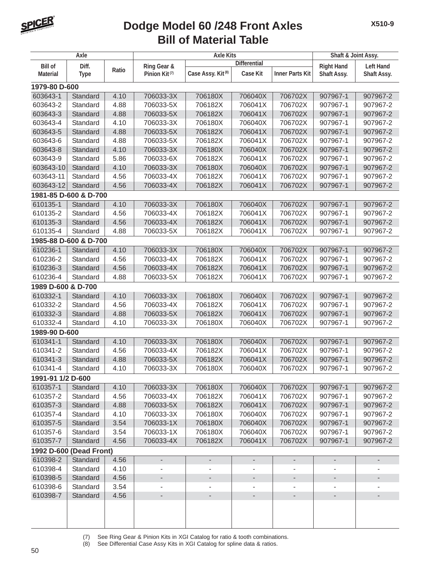

#### **Bill of Material Table Dodge Model 60 /248 Front Axles**

| <b>Differential</b><br><b>Bill of</b><br>Diff.<br>Ring Gear &<br><b>Right Hand</b><br>Ratio<br>Case Assy. Kit <sup>(8)</sup><br><b>Case Kit</b><br><b>Inner Parts Kit</b><br>Pinion Kit <sup>(7)</sup><br>Shaft Assy.<br><b>Material</b><br><b>Type</b><br>1979-80 D-600<br>603643-1<br>Standard<br>4.10<br>706033-3X<br>706180X<br>706040X<br>706702X<br>907967-1<br>706041X<br>603643-2<br>Standard<br>4.88<br>706033-5X<br>706182X<br>706702X<br>907967-1<br>603643-3<br>Standard<br>4.88<br>706033-5X<br>706182X<br>706041X<br>706702X<br>907967-1<br>603643-4<br>Standard<br>4.10<br>706033-3X<br>706180X<br>706040X<br>706702X<br>907967-1<br>603643-5<br>4.88<br>706033-5X<br>706182X<br>706041X<br>706702X<br>907967-1<br>Standard | <b>Left Hand</b><br>Shaft Assy.            |
|--------------------------------------------------------------------------------------------------------------------------------------------------------------------------------------------------------------------------------------------------------------------------------------------------------------------------------------------------------------------------------------------------------------------------------------------------------------------------------------------------------------------------------------------------------------------------------------------------------------------------------------------------------------------------------------------------------------------------------------------|--------------------------------------------|
|                                                                                                                                                                                                                                                                                                                                                                                                                                                                                                                                                                                                                                                                                                                                            |                                            |
|                                                                                                                                                                                                                                                                                                                                                                                                                                                                                                                                                                                                                                                                                                                                            |                                            |
|                                                                                                                                                                                                                                                                                                                                                                                                                                                                                                                                                                                                                                                                                                                                            |                                            |
|                                                                                                                                                                                                                                                                                                                                                                                                                                                                                                                                                                                                                                                                                                                                            | 907967-2                                   |
|                                                                                                                                                                                                                                                                                                                                                                                                                                                                                                                                                                                                                                                                                                                                            | 907967-2                                   |
|                                                                                                                                                                                                                                                                                                                                                                                                                                                                                                                                                                                                                                                                                                                                            | 907967-2                                   |
|                                                                                                                                                                                                                                                                                                                                                                                                                                                                                                                                                                                                                                                                                                                                            | 907967-2                                   |
|                                                                                                                                                                                                                                                                                                                                                                                                                                                                                                                                                                                                                                                                                                                                            | 907967-2                                   |
| 4.88<br>706033-5X<br>706182X<br>706041X<br>603643-6<br>Standard<br>706702X<br>907967-1                                                                                                                                                                                                                                                                                                                                                                                                                                                                                                                                                                                                                                                     | 907967-2                                   |
| 603643-8<br>4.10<br>706033-3X<br>706180X<br>706040X<br>706702X<br>907967-1<br>Standard                                                                                                                                                                                                                                                                                                                                                                                                                                                                                                                                                                                                                                                     | 907967-2                                   |
| 603643-9<br>Standard<br>5.86<br>706033-6X<br>706182X<br>706041X<br>706702X<br>907967-1                                                                                                                                                                                                                                                                                                                                                                                                                                                                                                                                                                                                                                                     | 907967-2                                   |
| 603643-10<br>4.10<br>706033-3X<br>706180X<br>706040X<br>706702X<br>907967-1<br>Standard                                                                                                                                                                                                                                                                                                                                                                                                                                                                                                                                                                                                                                                    | 907967-2                                   |
| 603643-11<br>Standard<br>4.56<br>706033-4X<br>706182X<br>706041X<br>706702X<br>907967-1                                                                                                                                                                                                                                                                                                                                                                                                                                                                                                                                                                                                                                                    | 907967-2                                   |
| 4.56<br>706182X<br>706041X<br>706702X<br>603643-12<br>Standard<br>706033-4X<br>907967-1                                                                                                                                                                                                                                                                                                                                                                                                                                                                                                                                                                                                                                                    | 907967-2                                   |
| 1981-85 D-600 & D-700                                                                                                                                                                                                                                                                                                                                                                                                                                                                                                                                                                                                                                                                                                                      |                                            |
| 610135-1<br>706033-3X<br>Standard<br>4.10<br>706180X<br>706040X<br>706702X<br>907967-1                                                                                                                                                                                                                                                                                                                                                                                                                                                                                                                                                                                                                                                     | 907967-2                                   |
| 610135-2<br>4.56<br>706033-4X<br>706182X<br>706041X<br>706702X<br>Standard<br>907967-1                                                                                                                                                                                                                                                                                                                                                                                                                                                                                                                                                                                                                                                     | 907967-2                                   |
| 610135-3<br>4.56<br>706033-4X<br>706182X<br>706041X<br>706702X<br>Standard<br>907967-1                                                                                                                                                                                                                                                                                                                                                                                                                                                                                                                                                                                                                                                     | 907967-2                                   |
| 610135-4<br>Standard<br>4.88<br>706033-5X<br>706182X<br>706041X<br>706702X<br>907967-1                                                                                                                                                                                                                                                                                                                                                                                                                                                                                                                                                                                                                                                     | 907967-2                                   |
| 1985-88 D-600 & D-700                                                                                                                                                                                                                                                                                                                                                                                                                                                                                                                                                                                                                                                                                                                      |                                            |
| 610236-1<br>706180X<br>706040X<br>706702X<br>Standard<br>4.10<br>706033-3X<br>907967-1                                                                                                                                                                                                                                                                                                                                                                                                                                                                                                                                                                                                                                                     | 907967-2                                   |
| 610236-2<br>Standard<br>4.56<br>706033-4X<br>706182X<br>706041X<br>706702X<br>907967-1                                                                                                                                                                                                                                                                                                                                                                                                                                                                                                                                                                                                                                                     | 907967-2                                   |
| 610236-3<br>4.56<br>706033-4X<br>706182X<br>706041X<br>706702X<br>907967-1<br>Standard                                                                                                                                                                                                                                                                                                                                                                                                                                                                                                                                                                                                                                                     | 907967-2                                   |
| 610236-4<br>4.88<br>706033-5X<br>706182X<br>706041X<br>706702X<br>Standard<br>907967-1                                                                                                                                                                                                                                                                                                                                                                                                                                                                                                                                                                                                                                                     | 907967-2                                   |
| 1989 D-600 & D-700                                                                                                                                                                                                                                                                                                                                                                                                                                                                                                                                                                                                                                                                                                                         |                                            |
| 610332-1<br>Standard<br>4.10<br>706033-3X<br>706180X<br>706040X<br>706702X<br>907967-1                                                                                                                                                                                                                                                                                                                                                                                                                                                                                                                                                                                                                                                     | 907967-2                                   |
| 610332-2<br>4.56<br>706033-4X<br>706182X<br>706041X<br>706702X<br>Standard<br>907967-1                                                                                                                                                                                                                                                                                                                                                                                                                                                                                                                                                                                                                                                     | 907967-2                                   |
| 610332-3<br>4.88<br>706033-5X<br>706182X<br>706041X<br>706702X<br>907967-1<br>Standard                                                                                                                                                                                                                                                                                                                                                                                                                                                                                                                                                                                                                                                     | 907967-2                                   |
| 610332-4<br>Standard<br>4.10<br>706033-3X<br>706180X<br>706040X<br>706702X<br>907967-1                                                                                                                                                                                                                                                                                                                                                                                                                                                                                                                                                                                                                                                     | 907967-2                                   |
| 1989-90 D-600                                                                                                                                                                                                                                                                                                                                                                                                                                                                                                                                                                                                                                                                                                                              |                                            |
| 610341-1<br>706033-3X<br>706180X<br>706040X<br>706702X<br>Standard<br>4.10<br>907967-1                                                                                                                                                                                                                                                                                                                                                                                                                                                                                                                                                                                                                                                     | 907967-2                                   |
| 706033-4X<br>706041X<br>610341-2<br>Standard<br>4.56<br>706182X<br>706702X<br>907967-1                                                                                                                                                                                                                                                                                                                                                                                                                                                                                                                                                                                                                                                     | 907967-2                                   |
| 610341-3<br>4.88<br>706033-5X<br>706182X<br>706041X<br>Standard<br>706702X<br>907967-1                                                                                                                                                                                                                                                                                                                                                                                                                                                                                                                                                                                                                                                     | 907967-2                                   |
| 4.10<br>610341-4<br>Standard<br>706033-3X<br>706180X<br>706040X<br>706702X<br>907967-1                                                                                                                                                                                                                                                                                                                                                                                                                                                                                                                                                                                                                                                     | 907967-2                                   |
| 1991-91 1/2 D-600                                                                                                                                                                                                                                                                                                                                                                                                                                                                                                                                                                                                                                                                                                                          |                                            |
| 610357-1<br>Standard<br>706180X<br>4.10<br>706033-3X<br>706040X<br>706702X<br>907967-1                                                                                                                                                                                                                                                                                                                                                                                                                                                                                                                                                                                                                                                     | 907967-2                                   |
| 610357-2<br>706182X<br>Standard<br>4.56<br>706033-4X<br>706041X<br>706702X<br>907967-1                                                                                                                                                                                                                                                                                                                                                                                                                                                                                                                                                                                                                                                     | 907967-2                                   |
| 610357-3<br>4.88<br>706182X<br>706041X<br>706702X<br>Standard<br>706033-5X<br>907967-1                                                                                                                                                                                                                                                                                                                                                                                                                                                                                                                                                                                                                                                     | 907967-2                                   |
| 610357-4<br>Standard<br>706180X<br>706040X<br>706702X<br>4.10<br>706033-3X<br>907967-1                                                                                                                                                                                                                                                                                                                                                                                                                                                                                                                                                                                                                                                     | 907967-2                                   |
| 610357-5<br>706180X<br>706040X<br>706702X<br>Standard<br>3.54<br>706033-1X<br>907967-1                                                                                                                                                                                                                                                                                                                                                                                                                                                                                                                                                                                                                                                     | 907967-2                                   |
| 610357-6<br>Standard<br>706033-1X<br>706180X<br>706040X<br>706702X<br>907967-1<br>3.54                                                                                                                                                                                                                                                                                                                                                                                                                                                                                                                                                                                                                                                     | 907967-2                                   |
| 706182X<br>610357-7<br>Standard<br>4.56<br>706033-4X<br>706041X<br>706702X<br>907967-1                                                                                                                                                                                                                                                                                                                                                                                                                                                                                                                                                                                                                                                     | 907967-2                                   |
|                                                                                                                                                                                                                                                                                                                                                                                                                                                                                                                                                                                                                                                                                                                                            |                                            |
| 1992 D-600 (Dead Front)<br>610398-2<br>Standard                                                                                                                                                                                                                                                                                                                                                                                                                                                                                                                                                                                                                                                                                            |                                            |
| 4.56<br>$\overline{\phantom{0}}$<br>۰<br>$\overline{\phantom{a}}$<br>-<br>610398-4<br>Standard<br>4.10<br>$\qquad \qquad \blacksquare$<br>$\overline{\phantom{a}}$                                                                                                                                                                                                                                                                                                                                                                                                                                                                                                                                                                         | $\overline{\phantom{a}}$<br>$\overline{a}$ |
| 610398-5<br>4.56<br>Standard<br>$\overline{a}$<br>-<br>-                                                                                                                                                                                                                                                                                                                                                                                                                                                                                                                                                                                                                                                                                   |                                            |
| -<br>-<br>610398-6<br>Standard<br>3.54<br>$\overline{\phantom{a}}$<br>-                                                                                                                                                                                                                                                                                                                                                                                                                                                                                                                                                                                                                                                                    | -                                          |
| 610398-7<br>Standard<br>4.56<br>$\overline{\phantom{a}}$<br>$\overline{\phantom{a}}$<br>$\overline{\phantom{a}}$<br>$\overline{a}$<br>-                                                                                                                                                                                                                                                                                                                                                                                                                                                                                                                                                                                                    | $\overline{\phantom{a}}$                   |
|                                                                                                                                                                                                                                                                                                                                                                                                                                                                                                                                                                                                                                                                                                                                            |                                            |
|                                                                                                                                                                                                                                                                                                                                                                                                                                                                                                                                                                                                                                                                                                                                            |                                            |
|                                                                                                                                                                                                                                                                                                                                                                                                                                                                                                                                                                                                                                                                                                                                            |                                            |

(7) See Ring Gear & Pinion Kits in XGI Catalog for ratio & tooth combinations.

See Differential Case Assy Kits in XGI Catalog for spline data & ratios.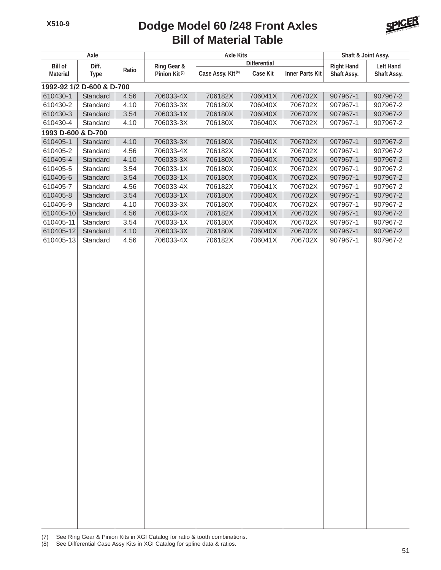#### **Bill of Material Table Dodge Model 60 /248 Front Axles**



| Axle                   |                           |              | <b>Axle Kits</b>                         |                               |                    |                        | Shaft & Joint Assy.              |                      |
|------------------------|---------------------------|--------------|------------------------------------------|-------------------------------|--------------------|------------------------|----------------------------------|----------------------|
| <b>Bill of</b>         |                           |              | <b>Differential</b>                      |                               |                    | <b>Left Hand</b>       |                                  |                      |
| <b>Material</b>        | Diff.<br><b>Type</b>      | Ratio        | Ring Gear &<br>Pinion Kit <sup>(7)</sup> | Case Assy. Kit <sup>(8)</sup> | <b>Case Kit</b>    | <b>Inner Parts Kit</b> | <b>Right Hand</b><br>Shaft Assy. | Shaft Assy.          |
|                        | 1992-92 1/2 D-600 & D-700 |              |                                          |                               |                    |                        |                                  |                      |
| 610430-1               | Standard                  | 4.56         | 706033-4X                                | 706182X                       | 706041X            | 706702X                | 907967-1                         | 907967-2             |
| 610430-2               | Standard                  | 4.10         | 706033-3X                                | 706180X                       | 706040X            | 706702X                | 907967-1                         | 907967-2             |
| 610430-3               | Standard                  | 3.54         | 706033-1X                                | 706180X                       | 706040X            | 706702X                | 907967-1                         | 907967-2             |
| 610430-4               | Standard                  | 4.10         | 706033-3X                                | 706180X                       | 706040X            | 706702X                | 907967-1                         | 907967-2             |
| 1993 D-600 & D-700     |                           |              |                                          |                               |                    |                        |                                  |                      |
| 610405-1               | Standard                  | 4.10         | 706033-3X                                | 706180X                       | 706040X            | 706702X                | 907967-1                         | 907967-2             |
| 610405-2               | Standard                  | 4.56         | 706033-4X                                | 706182X                       | 706041X            | 706702X                | 907967-1                         | 907967-2             |
| 610405-4               | Standard                  | 4.10         | 706033-3X                                | 706180X                       | 706040X            | 706702X                | 907967-1                         | 907967-2             |
| 610405-5               | Standard                  | 3.54         | 706033-1X                                | 706180X                       | 706040X            | 706702X                | 907967-1                         | 907967-2             |
| 610405-6               | Standard                  | 3.54         | 706033-1X                                | 706180X                       | 706040X            | 706702X                | 907967-1                         | 907967-2             |
| 610405-7               | Standard                  | 4.56         | 706033-4X                                | 706182X                       | 706041X            | 706702X                | 907967-1                         | 907967-2             |
| 610405-8               | Standard                  | 3.54         | 706033-1X                                | 706180X                       | 706040X            | 706702X                | 907967-1                         | 907967-2             |
| 610405-9               | Standard                  | 4.10         | 706033-3X                                | 706180X                       | 706040X            | 706702X                | 907967-1                         | 907967-2             |
| 610405-10              | Standard                  | 4.56         | 706033-4X                                | 706182X                       | 706041X            | 706702X                | 907967-1                         | 907967-2             |
| 610405-11              | Standard                  | 3.54         | 706033-1X                                | 706180X                       | 706040X            | 706702X                | 907967-1                         | 907967-2             |
| 610405-12<br>610405-13 | Standard<br>Standard      | 4.10<br>4.56 | 706033-3X<br>706033-4X                   | 706180X<br>706182X            | 706040X<br>706041X | 706702X<br>706702X     | 907967-1<br>907967-1             | 907967-2<br>907967-2 |
|                        |                           |              |                                          |                               |                    |                        |                                  |                      |
|                        |                           |              |                                          |                               |                    |                        |                                  |                      |

(7) See Ring Gear & Pinion Kits in XGI Catalog for ratio & tooth combinations.

(8) See Differential Case Assy Kits in XGI Catalog for spline data & ratios.